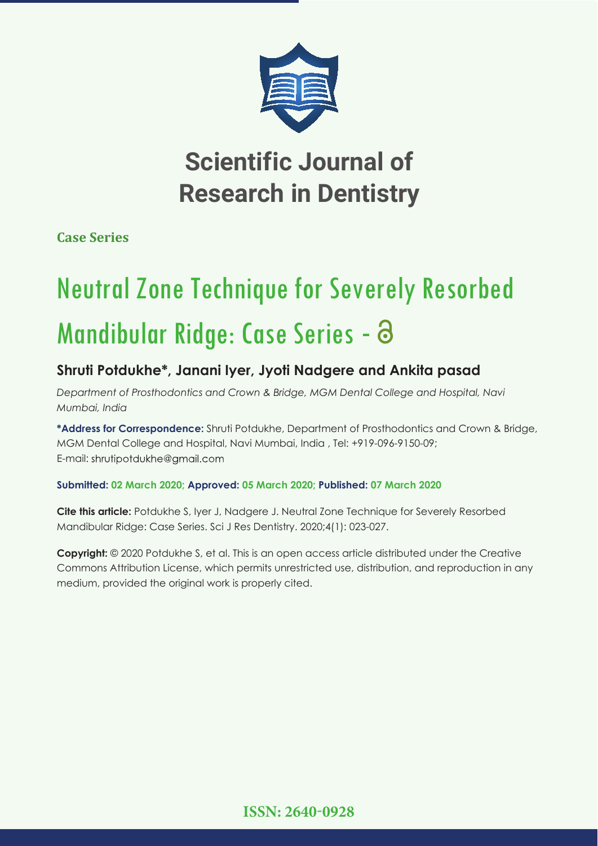

## **Scientific Journal of Research in Dentistry**

**Case Series**

# Neutral Zone Technique for Severely Resorbed Mandibular Ridge: Case Series - 8

### **Shruti Potdukhe\*, Janani Iyer, Jyoti Nadgere and Ankita pasad**

*Department of Prosthodontics and Crown & Bridge, MGM Dental College and Hospital, Navi Mumbai, India*

**\*Address for Correspondence:** Shruti Potdukhe, Department of Prosthodontics and Crown & Bridge, MGM Dental College and Hospital, Navi Mumbai, India , Tel: +919-096-9150-09; E-mail: shrutipotdukhe@gmail.com

#### **Submitted: 02 March 2020; Approved: 05 March 2020; Published: 07 March 2020**

**Cite this article:** Potdukhe S, Iyer J, Nadgere J. Neutral Zone Technique for Severely Resorbed Mandibular Ridge: Case Series. Sci J Res Dentistry. 2020;4(1): 023-027.

**Copyright:** © 2020 Potdukhe S, et al. This is an open access article distributed under the Creative Commons Attribution License, which permits unrestricted use, distribution, and reproduction in any medium, provided the original work is properly cited.

**ISSN: 2640-0928**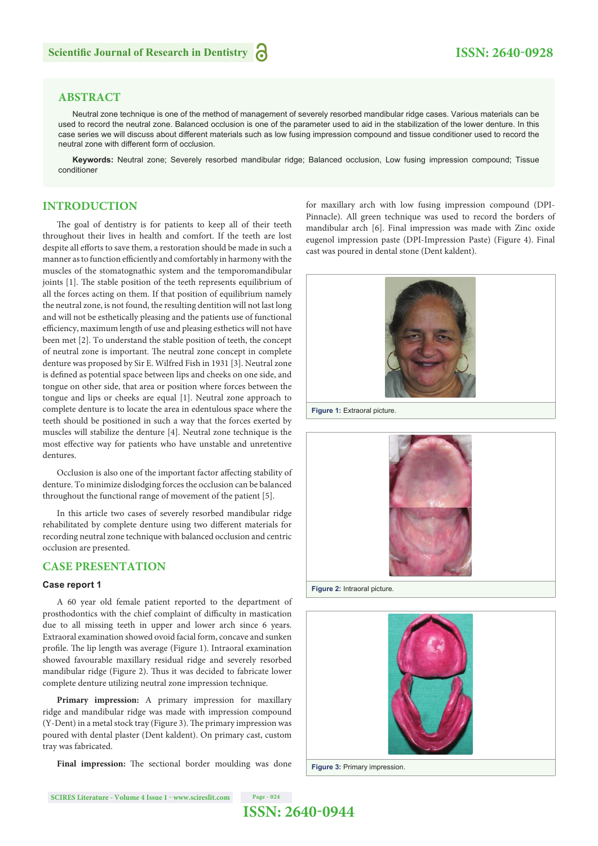#### **ABSTRACT**

Neutral zone technique is one of the method of management of severely resorbed mandibular ridge cases. Various materials can be used to record the neutral zone. Balanced occlusion is one of the parameter used to aid in the stabilization of the lower denture. In this case series we will discuss about different materials such as low fusing impression compound and tissue conditioner used to record the neutral zone with different form of occlusion.

**Keywords:** Neutral zone; Severely resorbed mandibular ridge; Balanced occlusion, Low fusing impression compound; Tissue conditioner

#### **INTRODUCTION**

The goal of dentistry is for patients to keep all of their teeth throughout their lives in health and comfort. If the teeth are lost despite all efforts to save them, a restoration should be made in such a manner as to function efficiently and comfortably in harmony with the muscles of the stomatognathic system and the temporomandibular joints [1]. The stable position of the teeth represents equilibrium of all the forces acting on them. If that position of equilibrium namely the neutral zone, is not found, the resulting dentition will not last long and will not be esthetically pleasing and the patients use of functional efficiency, maximum length of use and pleasing esthetics will not have been met [2]. To understand the stable position of teeth, the concept of neutral zone is important. The neutral zone concept in complete denture was proposed by Sir E. Wilfred Fish in 1931 [3]. Neutral zone is defined as potential space between lips and cheeks on one side, and tongue on other side, that area or position where forces between the tongue and lips or cheeks are equal [1]. Neutral zone approach to complete denture is to locate the area in edentulous space where the teeth should be positioned in such a way that the forces exerted by muscles will stabilize the denture [4]. Neutral zone technique is the most effective way for patients who have unstable and unretentive dentures.

Occlusion is also one of the important factor affecting stability of denture. To minimize dislodging forces the occlusion can be balanced throughout the functional range of movement of the patient [5].

In this article two cases of severely resorbed mandibular ridge rehabilitated by complete denture using two different materials for recording neutral zone technique with balanced occlusion and centric occlusion are presented.

#### **CASE PRESENTATION**

#### **Case report 1**

A 60 year old female patient reported to the department of prosthodontics with the chief complaint of difficulty in mastication due to all missing teeth in upper and lower arch since 6 years. Extraoral examination showed ovoid facial form, concave and sunken profile. The lip length was average (Figure 1). Intraoral examination showed favourable maxillary residual ridge and severely resorbed mandibular ridge (Figure 2). Thus it was decided to fabricate lower complete denture utilizing neutral zone impression technique.

**Primary impression:** A primary impression for maxillary ridge and mandibular ridge was made with impression compound  $(Y-Dent)$  in a metal stock tray (Figure 3). The primary impression was poured with dental plaster (Dent kaldent). On primary cast, custom tray was fabricated.

Final impression: The sectional border moulding was done

for maxillary arch with low fusing impression compound (DPI-Pinnacle). All green technique was used to record the borders of mandibular arch [6]. Final impression was made with Zinc oxide eugenol impression paste (DPI-Impression Paste) (Figure 4). Final cast was poured in dental stone (Dent kaldent).



**Figure 1:** Extraoral picture.



**Figure 2:** Intraoral picture.

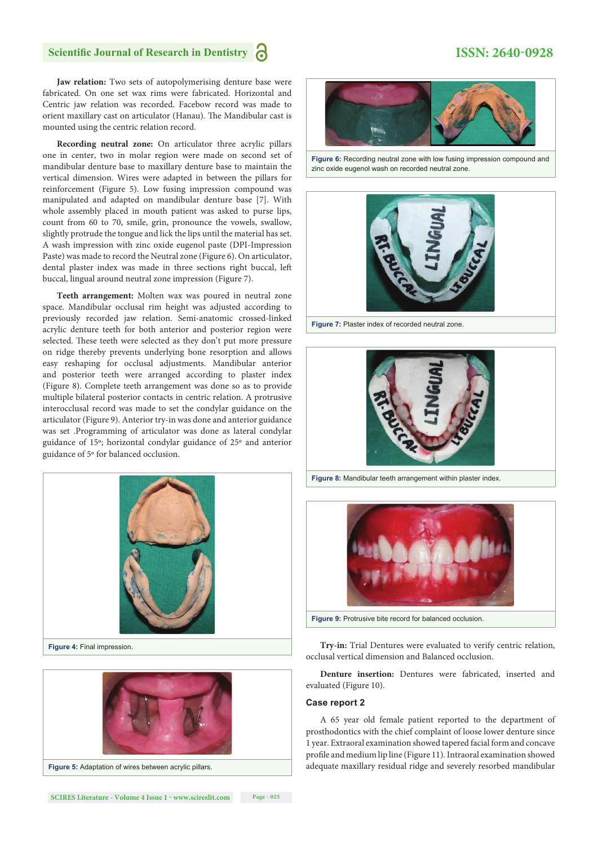#### **Scientific Journal of Research in Dentistry**

#### **ISSN: 2640-0928**

**Jaw relation:** Two sets of autopolymerising denture base were fabricated. On one set wax rims were fabricated. Horizontal and Centric jaw relation was recorded. Facebow record was made to orient maxillary cast on articulator (Hanau). The Mandibular cast is mounted using the centric relation record.

**Recording neutral zone:** On articulator three acrylic pillars one in center, two in molar region were made on second set of mandibular denture base to maxillary denture base to maintain the vertical dimension. Wires were adapted in between the pillars for reinforcement (Figure 5). Low fusing impression compound was manipulated and adapted on mandibular denture base [7]. With whole assembly placed in mouth patient was asked to purse lips, count from 60 to 70, smile, grin, pronounce the vowels, swallow, slightly protrude the tongue and lick the lips until the material has set. A wash impression with zinc oxide eugenol paste (DPI-Impression Paste) was made to record the Neutral zone (Figure 6). On articulator, dental plaster index was made in three sections right buccal, left buccal, lingual around neutral zone impression (Figure 7).

**Teeth arrangement:** Molten wax was poured in neutral zone space. Mandibular occlusal rim height was adjusted according to previously recorded jaw relation. Semi-anatomic crossed-linked acrylic denture teeth for both anterior and posterior region were selected. These teeth were selected as they don't put more pressure on ridge thereby prevents underlying bone resorption and allows easy reshaping for occlusal adjustments. Mandibular anterior and posterior teeth were arranged according to plaster index (Figure 8). Complete teeth arrangement was done so as to provide multiple bilateral posterior contacts in centric relation. A protrusive interocclusal record was made to set the condylar guidance on the articulator (Figure 9). Anterior try-in was done and anterior guidance was set .Programming of articulator was done as lateral condylar guidance of 15º; horizontal condylar guidance of 25º and anterior guidance of 5º for balanced occlusion.









**Figure 6:** Recording neutral zone with low fusing impression compound and zinc oxide eugenol wash on recorded neutral zone.



**Figure 7:** Plaster index of recorded neutral zone.



**Figure 8:** Mandibular teeth arrangement within plaster index.



**Figure 9:** Protrusive bite record for balanced occlusion.

**Try-in:** Trial Dentures were evaluated to verify centric relation, occlusal vertical dimension and Balanced occlusion.

**Denture insertion:** Dentures were fabricated, inserted and evaluated (Figure 10).

#### **Case report 2**

A 65 year old female patient reported to the department of prosthodontics with the chief complaint of loose lower denture since 1 year. Extraoral examination showed tapered facial form and concave profile and medium lip line (Figure 11). Intraoral examination showed adequate maxillary residual ridge and severely resorbed mandibular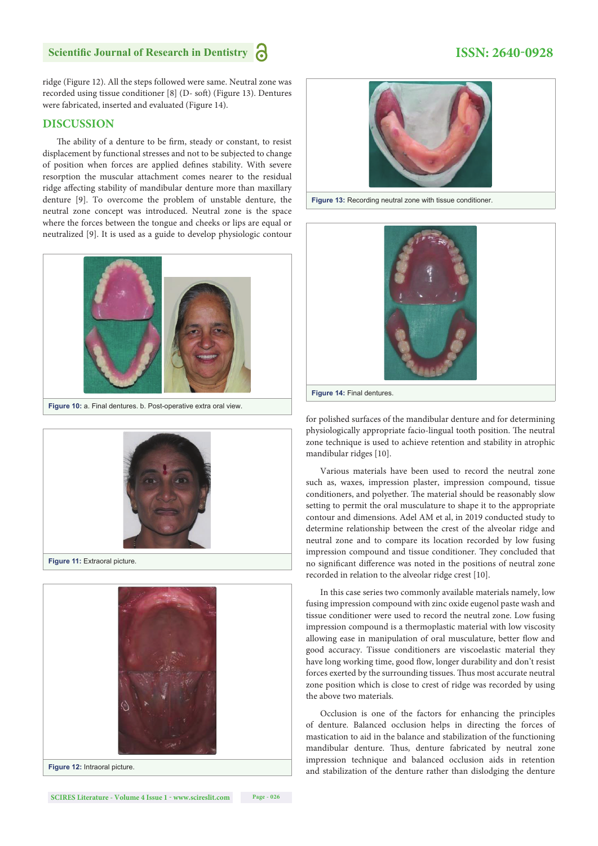#### **Scientific Journal of Research in Dentistry**

ridge (Figure 12). All the steps followed were same. Neutral zone was recorded using tissue conditioner [8] (D- soft) (Figure 13). Dentures were fabricated, inserted and evaluated (Figure 14).

#### **DISCUSSION**

The ability of a denture to be firm, steady or constant, to resist displacement by functional stresses and not to be subjected to change of position when forces are applied defines stability. With severe resorption the muscular attachment comes nearer to the residual ridge affecting stability of mandibular denture more than maxillary denture [9]. To overcome the problem of unstable denture, the neutral zone concept was introduced. Neutral zone is the space where the forces between the tongue and cheeks or lips are equal or neutralized [9]. It is used as a guide to develop physiologic contour



**Figure 10:** a. Final dentures. b. Post-operative extra oral view.



**Figure 11:** Extraoral picture.





**Figure 13:** Recording neutral zone with tissue conditioner.



for polished surfaces of the mandibular denture and for determining physiologically appropriate facio-lingual tooth position. The neutral zone technique is used to achieve retention and stability in atrophic mandibular ridges [10].

Various materials have been used to record the neutral zone such as, waxes, impression plaster, impression compound, tissue conditioners, and polyether. The material should be reasonably slow setting to permit the oral musculature to shape it to the appropriate contour and dimensions. Adel AM et al, in 2019 conducted study to determine relationship between the crest of the alveolar ridge and neutral zone and to compare its location recorded by low fusing impression compound and tissue conditioner. They concluded that no significant difference was noted in the positions of neutral zone recorded in relation to the alveolar ridge crest [10].

In this case series two commonly available materials namely, low fusing impression compound with zinc oxide eugenol paste wash and tissue conditioner were used to record the neutral zone. Low fusing impression compound is a thermoplastic material with low viscosity allowing ease in manipulation of oral musculature, better flow and good accuracy. Tissue conditioners are viscoelastic material they have long working time, good flow, longer durability and don't resist forces exerted by the surrounding tissues. Thus most accurate neutral zone position which is close to crest of ridge was recorded by using the above two materials.

Occlusion is one of the factors for enhancing the principles of denture. Balanced occlusion helps in directing the forces of mastication to aid in the balance and stabilization of the functioning mandibular denture. Thus, denture fabricated by neutral zone impression technique and balanced occlusion aids in retention and stabilization of the denture rather than dislodging the denture

#### **ISSN: 2640-0928**